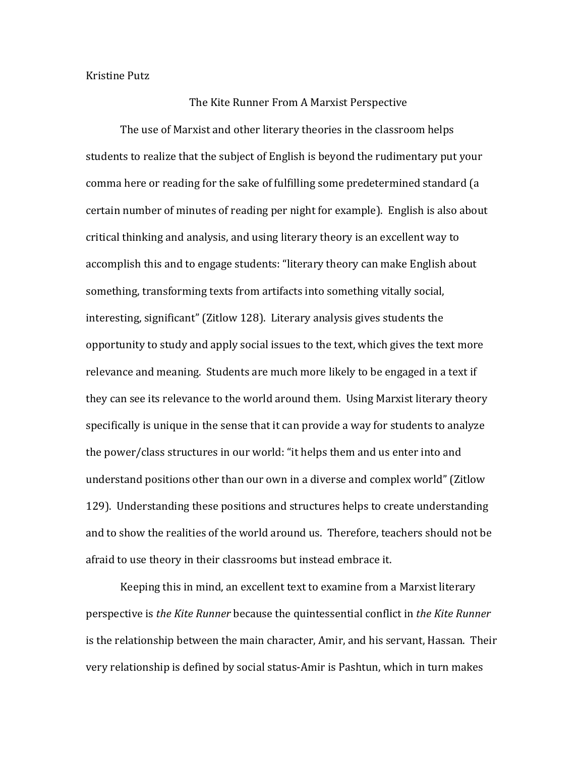Kristine Putz

## The Kite Runner From A Marxist Perspective

The use of Marxist and other literary theories in the classroom helps students to realize that the subject of English is beyond the rudimentary put your comma here or reading for the sake of fulfilling some predetermined standard (a certain number of minutes of reading per night for example). English is also about critical thinking and analysis, and using literary theory is an excellent way to accomplish this and to engage students: "literary theory can make English about something, transforming texts from artifacts into something vitally social, interesting, significant" (Zitlow 128). Literary analysis gives students the opportunity to study and apply social issues to the text, which gives the text more relevance and meaning. Students are much more likely to be engaged in a text if they can see its relevance to the world around them. Using Marxist literary theory specifically is unique in the sense that it can provide a way for students to analyze the power/class structures in our world: "it helps them and us enter into and understand positions other than our own in a diverse and complex world" (Zitlow 129). Understanding these positions and structures helps to create understanding and to show the realities of the world around us. Therefore, teachers should not be afraid to use theory in their classrooms but instead embrace it.

Keeping this in mind, an excellent text to examine from a Marxist literary perspective is *the Kite Runner* because the quintessential conflict in *the Kite Runner* is the relationship between the main character, Amir, and his servant, Hassan. Their very relationship is defined by social status-Amir is Pashtun, which in turn makes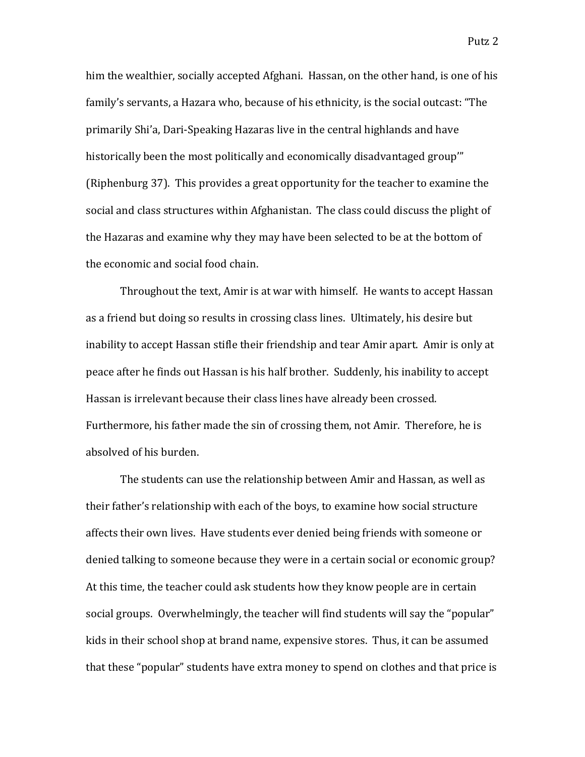him the wealthier, socially accepted Afghani. Hassan, on the other hand, is one of his family's servants, a Hazara who, because of his ethnicity, is the social outcast: "The primarily Shi'a, Dari-Speaking Hazaras live in the central highlands and have historically been the most politically and economically disadvantaged group" (Riphenburg 37). This provides a great opportunity for the teacher to examine the social and class structures within Afghanistan. The class could discuss the plight of the Hazaras and examine why they may have been selected to be at the bottom of the economic and social food chain.

Throughout the text, Amir is at war with himself. He wants to accept Hassan as a friend but doing so results in crossing class lines. Ultimately, his desire but inability to accept Hassan stifle their friendship and tear Amir apart. Amir is only at peace after he finds out Hassan is his half brother. Suddenly, his inability to accept Hassan is irrelevant because their class lines have already been crossed. Furthermore, his father made the sin of crossing them, not Amir. Therefore, he is absolved of his burden.

The students can use the relationship between Amir and Hassan, as well as their father's relationship with each of the boys, to examine how social structure affects their own lives. Have students ever denied being friends with someone or denied talking to someone because they were in a certain social or economic group? At this time, the teacher could ask students how they know people are in certain social groups. Overwhelmingly, the teacher will find students will say the "popular" kids in their school shop at brand name, expensive stores. Thus, it can be assumed that these "popular" students have extra money to spend on clothes and that price is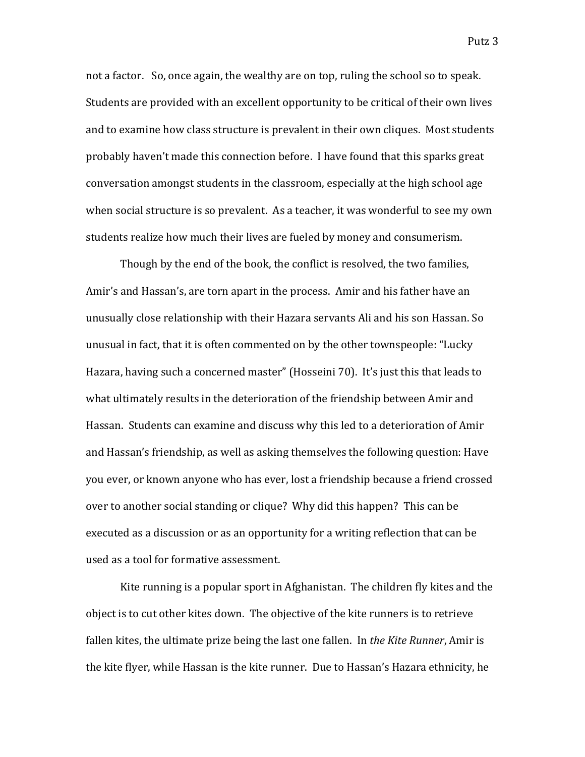not a factor. So, once again, the wealthy are on top, ruling the school so to speak. Students are provided with an excellent opportunity to be critical of their own lives and to examine how class structure is prevalent in their own cliques. Most students probably haven't made this connection before. I have found that this sparks great conversation amongst students in the classroom, especially at the high school age when social structure is so prevalent. As a teacher, it was wonderful to see my own students realize how much their lives are fueled by money and consumerism.

Though by the end of the book, the conflict is resolved, the two families, Amir's and Hassan's, are torn apart in the process. Amir and his father have an unusually close relationship with their Hazara servants Ali and his son Hassan. So unusual in fact, that it is often commented on by the other townspeople: "Lucky Hazara, having such a concerned master" (Hosseini 70). It's just this that leads to what ultimately results in the deterioration of the friendship between Amir and Hassan. Students can examine and discuss why this led to a deterioration of Amir and Hassan's friendship, as well as asking themselves the following question: Have you ever, or known anyone who has ever, lost a friendship because a friend crossed over to another social standing or clique? Why did this happen? This can be executed as a discussion or as an opportunity for a writing reflection that can be used as a tool for formative assessment.

Kite running is a popular sport in Afghanistan. The children fly kites and the object is to cut other kites down. The objective of the kite runners is to retrieve fallen kites, the ultimate prize being the last one fallen. In *the Kite Runner*, Amir is the kite flyer, while Hassan is the kite runner. Due to Hassan's Hazara ethnicity, he

Putz 3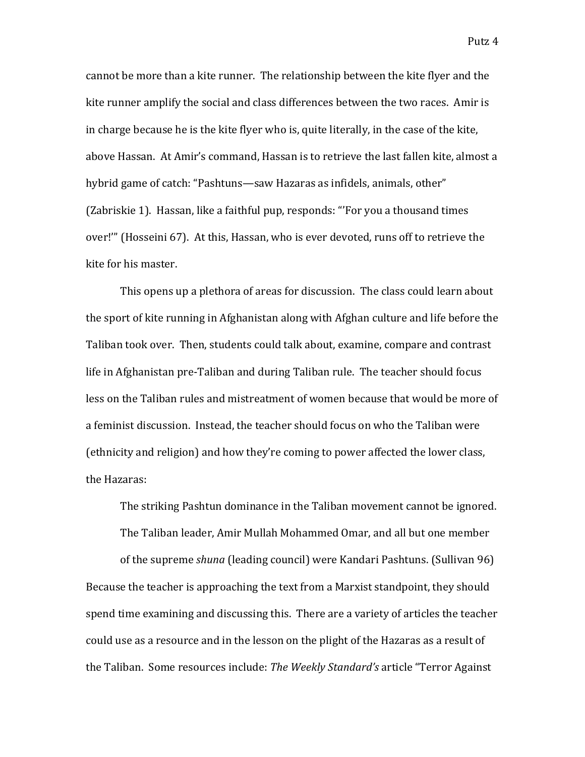cannot be more than a kite runner. The relationship between the kite flyer and the kite runner amplify the social and class differences between the two races. Amir is in charge because he is the kite flyer who is, quite literally, in the case of the kite, above Hassan. At Amir's command, Hassan is to retrieve the last fallen kite, almost a hybrid game of catch: "Pashtuns—saw Hazaras as infidels, animals, other" (Zabriskie 1). Hassan, like a faithful pup, responds: "'For you a thousand times over!"' (Hosseini 67). At this, Hassan, who is ever devoted, runs off to retrieve the kite for his master.

This opens up a plethora of areas for discussion. The class could learn about the sport of kite running in Afghanistan along with Afghan culture and life before the Taliban took over. Then, students could talk about, examine, compare and contrast life in Afghanistan pre-Taliban and during Taliban rule. The teacher should focus less on the Taliban rules and mistreatment of women because that would be more of a feminist discussion. Instead, the teacher should focus on who the Taliban were (ethnicity and religion) and how they're coming to power affected the lower class, the Hazaras:

The striking Pashtun dominance in the Taliban movement cannot be ignored.

The Taliban leader, Amir Mullah Mohammed Omar, and all but one member

of the supreme *shuna* (leading council) were Kandari Pashtuns. (Sullivan 96) Because the teacher is approaching the text from a Marxist standpoint, they should spend time examining and discussing this. There are a variety of articles the teacher could use as a resource and in the lesson on the plight of the Hazaras as a result of the Taliban. Some resources include: The Weekly Standard's article "Terror Against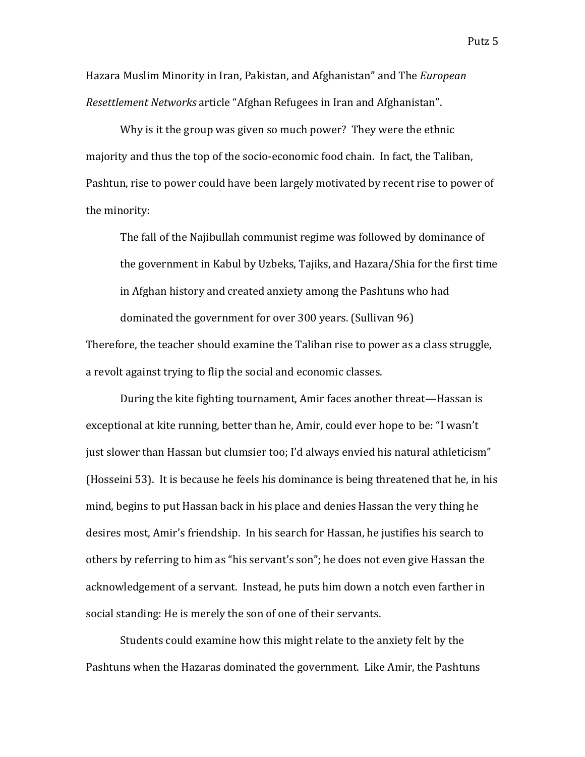Hazara Muslim Minority in Iran, Pakistan, and Afghanistan" and The *European Resettlement Networks* article "Afghan Refugees in Iran and Afghanistan".

Why is it the group was given so much power? They were the ethnic majority and thus the top of the socio-economic food chain. In fact, the Taliban, Pashtun, rise to power could have been largely motivated by recent rise to power of the minority:

The fall of the Najibullah communist regime was followed by dominance of the government in Kabul by Uzbeks. Tajiks, and Hazara/Shia for the first time in Afghan history and created anxiety among the Pashtuns who had dominated the government for over 300 years. (Sullivan 96)

Therefore, the teacher should examine the Taliban rise to power as a class struggle, a revolt against trying to flip the social and economic classes.

During the kite fighting tournament, Amir faces another threat—Hassan is exceptional at kite running, better than he, Amir, could ever hope to be: "I wasn't just slower than Hassan but clumsier too; I'd always envied his natural athleticism" (Hosseini 53). It is because he feels his dominance is being threatened that he, in his mind, begins to put Hassan back in his place and denies Hassan the very thing he desires most, Amir's friendship. In his search for Hassan, he justifies his search to others by referring to him as "his servant's son"; he does not even give Hassan the acknowledgement of a servant. Instead, he puts him down a notch even farther in social standing: He is merely the son of one of their servants.

Students could examine how this might relate to the anxiety felt by the Pashtuns when the Hazaras dominated the government. Like Amir, the Pashtuns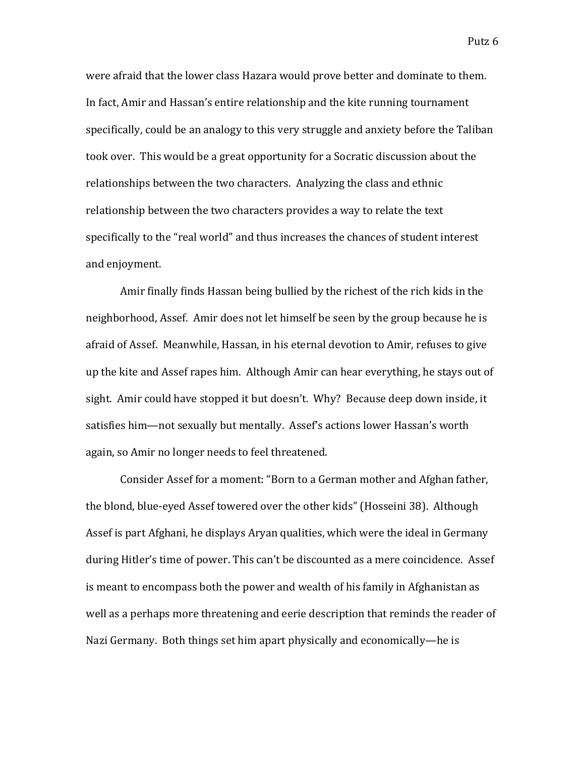were afraid that the lower class Hazara would prove better and dominate to them. In fact, Amir and Hassan's entire relationship and the kite running tournament specifically, could be an analogy to this very struggle and anxiety before the Taliban took over. This would be a great opportunity for a Socratic discussion about the relationships between the two characters. Analyzing the class and ethnic relationship between the two characters provides a way to relate the text specifically to the "real world" and thus increases the chances of student interest and enjoyment.

Amir finally finds Hassan being bullied by the richest of the rich kids in the neighborhood, Assef. Amir does not let himself be seen by the group because he is afraid of Assef. Meanwhile, Hassan, in his eternal devotion to Amir, refuses to give up the kite and Assef rapes him. Although Amir can hear everything, he stays out of sight. Amir could have stopped it but doesn't. Why? Because deep down inside, it satisfies him—not sexually but mentally. Assef's actions lower Hassan's worth again, so Amir no longer needs to feel threatened.

Consider Assef for a moment: "Born to a German mother and Afghan father, the blond, blue-eyed Assef towered over the other kids" (Hosseini 38). Although Assef is part Afghani, he displays Aryan qualities, which were the ideal in Germany during Hitler's time of power. This can't be discounted as a mere coincidence. Assef is meant to encompass both the power and wealth of his family in Afghanistan as well as a perhaps more threatening and eerie description that reminds the reader of Nazi Germany. Both things set him apart physically and economically—he is

Putz 6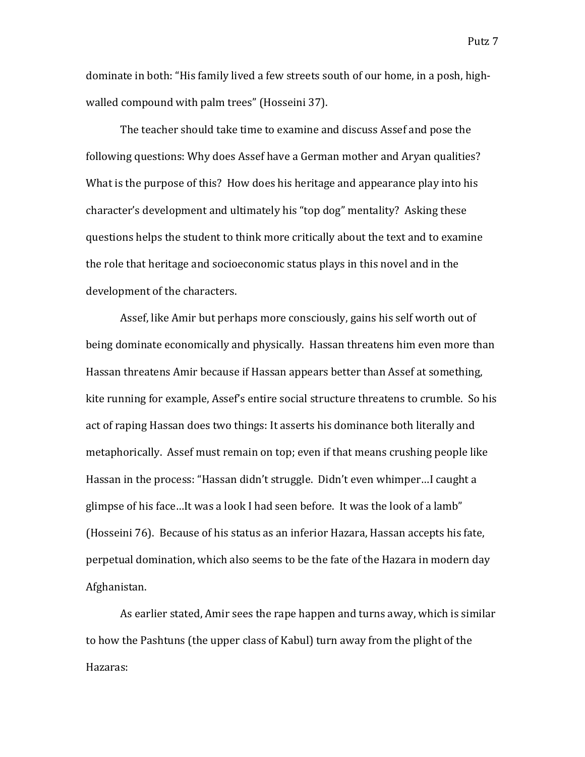dominate in both: "His family lived a few streets south of our home, in a posh, highwalled compound with palm trees" (Hosseini 37).

The teacher should take time to examine and discuss Assef and pose the following questions: Why does Assef have a German mother and Aryan qualities? What is the purpose of this? How does his heritage and appearance play into his character's development and ultimately his "top dog" mentality? Asking these questions helps the student to think more critically about the text and to examine the role that heritage and socioeconomic status plays in this novel and in the development of the characters.

Assef, like Amir but perhaps more consciously, gains his self worth out of being dominate economically and physically. Hassan threatens him even more than Hassan threatens Amir because if Hassan appears better than Assef at something, kite running for example, Assef's entire social structure threatens to crumble. So his act of raping Hassan does two things: It asserts his dominance both literally and metaphorically. Assef must remain on top; even if that means crushing people like Hassan in the process: "Hassan didn't struggle. Didn't even whimper...I caught a glimpse of his face...It was a look I had seen before. It was the look of a lamb" (Hosseini 76). Because of his status as an inferior Hazara, Hassan accepts his fate, perpetual domination, which also seems to be the fate of the Hazara in modern day Afghanistan.

As earlier stated, Amir sees the rape happen and turns away, which is similar to how the Pashtuns (the upper class of Kabul) turn away from the plight of the Hazaras: 

Putz<sub>7</sub>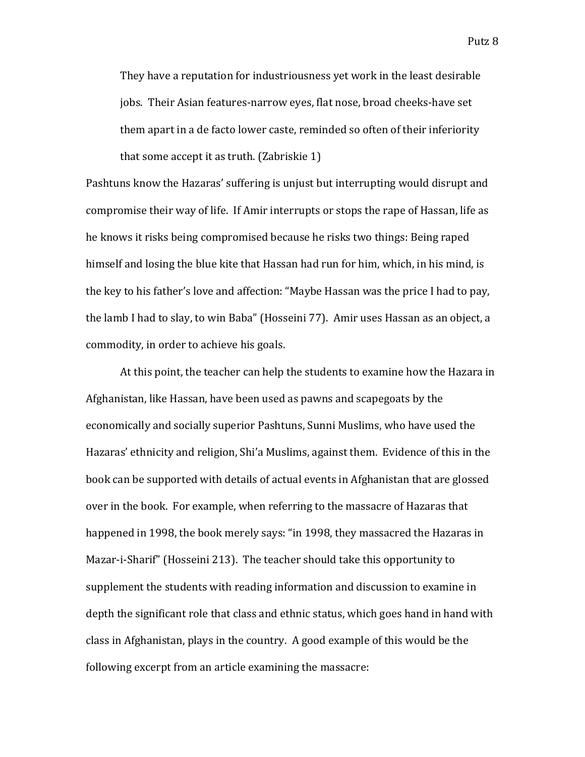They have a reputation for industriousness yet work in the least desirable jobs. Their Asian features-narrow eyes, flat nose, broad cheeks-have set

them apart in a de facto lower caste, reminded so often of their inferiority that some accept it as truth.  $(Zabriskie 1)$ 

Pashtuns know the Hazaras' suffering is unjust but interrupting would disrupt and compromise their way of life. If Amir interrupts or stops the rape of Hassan, life as he knows it risks being compromised because he risks two things: Being raped himself and losing the blue kite that Hassan had run for him, which, in his mind, is the key to his father's love and affection: "Maybe Hassan was the price I had to pay, the lamb I had to slay, to win Baba" (Hosseini 77). Amir uses Hassan as an object, a commodity, in order to achieve his goals.

At this point, the teacher can help the students to examine how the Hazara in Afghanistan, like Hassan, have been used as pawns and scapegoats by the economically and socially superior Pashtuns, Sunni Muslims, who have used the Hazaras' ethnicity and religion, Shi'a Muslims, against them. Evidence of this in the book can be supported with details of actual events in Afghanistan that are glossed over in the book. For example, when referring to the massacre of Hazaras that happened in 1998, the book merely says: "in 1998, they massacred the Hazaras in Mazar-i-Sharif" (Hosseini 213). The teacher should take this opportunity to supplement the students with reading information and discussion to examine in depth the significant role that class and ethnic status, which goes hand in hand with class in Afghanistan, plays in the country. A good example of this would be the following excerpt from an article examining the massacre: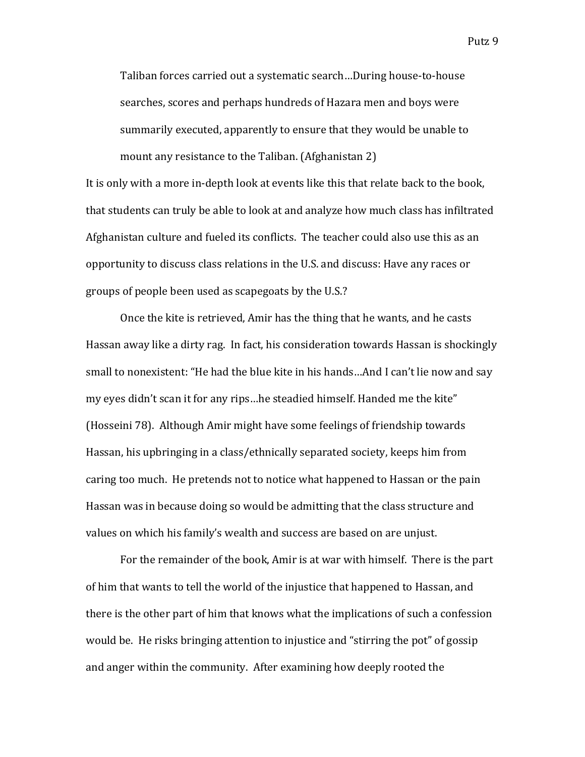Taliban forces carried out a systematic search...During house-to-house searches, scores and perhaps hundreds of Hazara men and boys were summarily executed, apparently to ensure that they would be unable to mount any resistance to the Taliban. (Afghanistan 2)

It is only with a more in-depth look at events like this that relate back to the book, that students can truly be able to look at and analyze how much class has infiltrated Afghanistan culture and fueled its conflicts. The teacher could also use this as an opportunity to discuss class relations in the U.S. and discuss: Have any races or groups of people been used as scapegoats by the U.S.?

Once the kite is retrieved, Amir has the thing that he wants, and he casts Hassan away like a dirty rag. In fact, his consideration towards Hassan is shockingly small to nonexistent: "He had the blue kite in his hands...And I can't lie now and say my eyes didn't scan it for any rips...he steadied himself. Handed me the kite" (Hosseini 78). Although Amir might have some feelings of friendship towards Hassan, his upbringing in a class/ethnically separated society, keeps him from caring too much. He pretends not to notice what happened to Hassan or the pain Hassan was in because doing so would be admitting that the class structure and values on which his family's wealth and success are based on are unjust.

For the remainder of the book, Amir is at war with himself. There is the part of him that wants to tell the world of the injustice that happened to Hassan, and there is the other part of him that knows what the implications of such a confession would be. He risks bringing attention to injustice and "stirring the pot" of gossip and anger within the community. After examining how deeply rooted the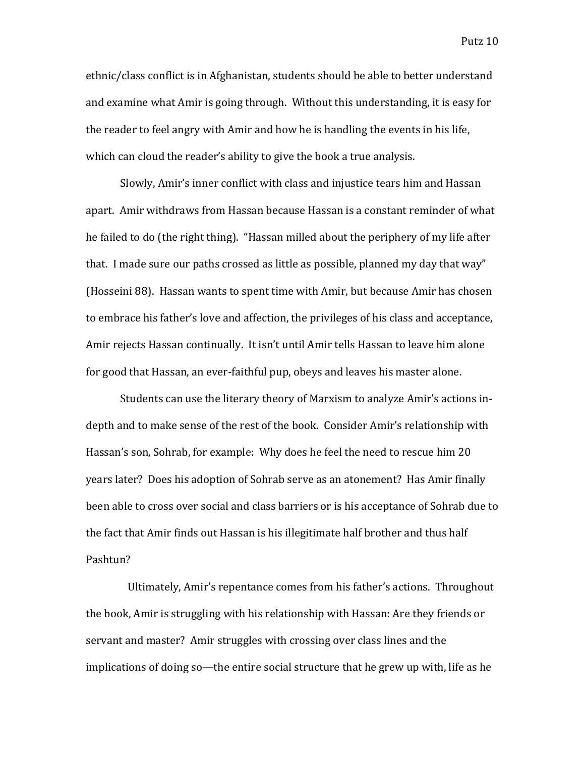Putz 10

ethnic/class conflict is in Afghanistan, students should be able to better understand and examine what Amir is going through. Without this understanding, it is easy for the reader to feel angry with Amir and how he is handling the events in his life, which can cloud the reader's ability to give the book a true analysis.

Slowly, Amir's inner conflict with class and injustice tears him and Hassan apart. Amir withdraws from Hassan because Hassan is a constant reminder of what he failed to do (the right thing). "Hassan milled about the periphery of my life after that. I made sure our paths crossed as little as possible, planned my day that way" (Hosseini 88). Hassan wants to spent time with Amir, but because Amir has chosen to embrace his father's love and affection, the privileges of his class and acceptance, Amir rejects Hassan continually. It isn't until Amir tells Hassan to leave him alone for good that Hassan, an ever-faithful pup, obeys and leaves his master alone.

Students can use the literary theory of Marxism to analyze Amir's actions indepth and to make sense of the rest of the book. Consider Amir's relationship with Hassan's son, Sohrab, for example: Why does he feel the need to rescue him 20 vears later? Does his adoption of Sohrab serve as an atonement? Has Amir finally been able to cross over social and class barriers or is his acceptance of Sohrab due to the fact that Amir finds out Hassan is his illegitimate half brother and thus half Pashtun?

Ultimately, Amir's repentance comes from his father's actions. Throughout the book, Amir is struggling with his relationship with Hassan: Are they friends or servant and master? Amir struggles with crossing over class lines and the implications of doing so—the entire social structure that he grew up with, life as he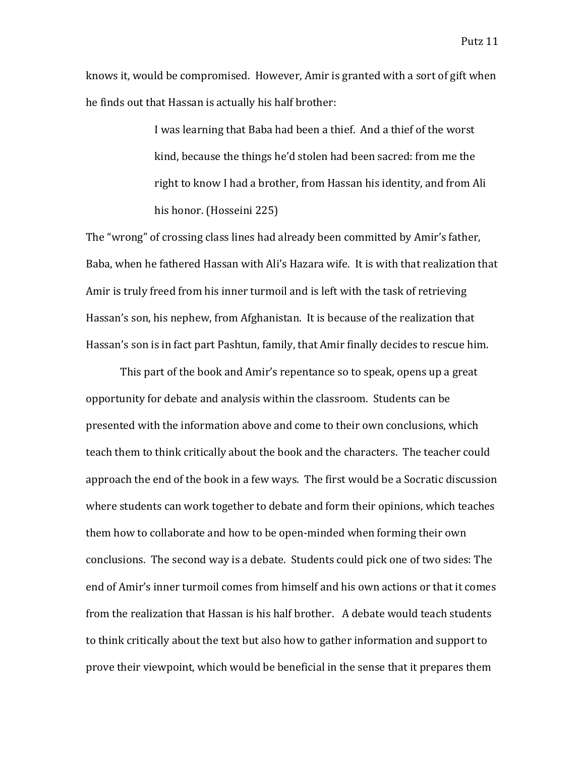knows it, would be compromised. However, Amir is granted with a sort of gift when he finds out that Hassan is actually his half brother:

> I was learning that Baba had been a thief. And a thief of the worst kind, because the things he'd stolen had been sacred: from me the right to know I had a brother, from Hassan his identity, and from Ali his honor. (Hosseini 225)

The "wrong" of crossing class lines had already been committed by Amir's father, Baba, when he fathered Hassan with Ali's Hazara wife. It is with that realization that Amir is truly freed from his inner turmoil and is left with the task of retrieving Hassan's son, his nephew, from Afghanistan. It is because of the realization that Hassan's son is in fact part Pashtun, family, that Amir finally decides to rescue him.

This part of the book and Amir's repentance so to speak, opens up a great opportunity for debate and analysis within the classroom. Students can be presented with the information above and come to their own conclusions, which teach them to think critically about the book and the characters. The teacher could approach the end of the book in a few ways. The first would be a Socratic discussion where students can work together to debate and form their opinions, which teaches them how to collaborate and how to be open-minded when forming their own conclusions. The second way is a debate. Students could pick one of two sides: The end of Amir's inner turmoil comes from himself and his own actions or that it comes from the realization that Hassan is his half brother. A debate would teach students to think critically about the text but also how to gather information and support to prove their viewpoint, which would be beneficial in the sense that it prepares them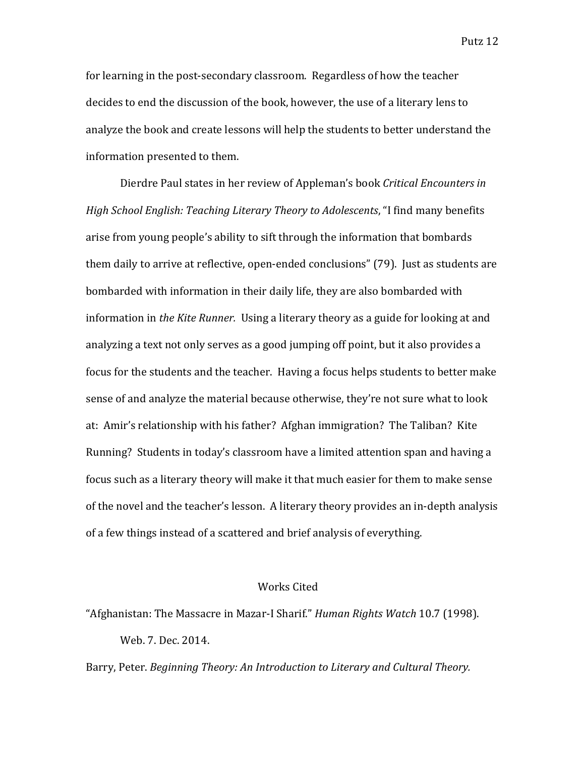for learning in the post-secondary classroom. Regardless of how the teacher decides to end the discussion of the book, however, the use of a literary lens to analyze the book and create lessons will help the students to better understand the information presented to them.

Dierdre Paul states in her review of Appleman's book *Critical Encounters in High School English: Teaching Literary Theory to Adolescents*, "I find many benefits arise from young people's ability to sift through the information that bombards them daily to arrive at reflective, open-ended conclusions" (79). Just as students are bombarded with information in their daily life, they are also bombarded with information in *the Kite Runner.* Using a literary theory as a guide for looking at and analyzing a text not only serves as a good jumping off point, but it also provides a focus for the students and the teacher. Having a focus helps students to better make sense of and analyze the material because otherwise, they're not sure what to look at: Amir's relationship with his father? Afghan immigration? The Taliban? Kite Running? Students in today's classroom have a limited attention span and having a focus such as a literary theory will make it that much easier for them to make sense of the novel and the teacher's lesson. A literary theory provides an in-depth analysis of a few things instead of a scattered and brief analysis of everything.

## Works Cited

"Afghanistan: The Massacre in Mazar-I Sharif." *Human Rights Watch* 10.7 (1998). Web. 7. Dec. 2014.

Barry, Peter. *Beginning Theory: An Introduction to Literary and Cultural Theory.*